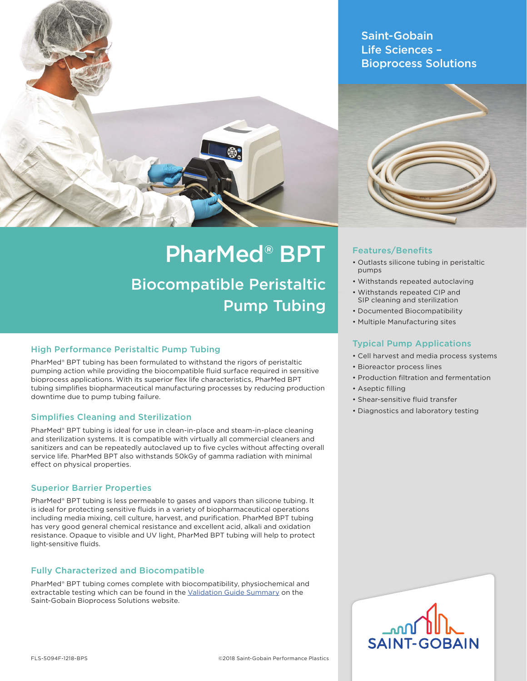

Saint-Gobain Life Sciences – Bioprocess Solutions



# PharMed® BPT

Biocompatible Peristaltic Pump Tubing

# High Performance Peristaltic Pump Tubing

PharMed® BPT tubing has been formulated to withstand the rigors of peristaltic pumping action while providing the biocompatible fluid surface required in sensitive bioprocess applications. With its superior flex life characteristics, PharMed BPT tubing simplifies biopharmaceutical manufacturing processes by reducing production downtime due to pump tubing failure.

### Simplifies Cleaning and Sterilization

PharMed® BPT tubing is ideal for use in clean-in-place and steam-in-place cleaning and sterilization systems. It is compatible with virtually all commercial cleaners and sanitizers and can be repeatedly autoclaved up to five cycles without affecting overall service life. PharMed BPT also withstands 50kGy of gamma radiation with minimal effect on physical properties.

### Superior Barrier Properties

PharMed® BPT tubing is less permeable to gases and vapors than silicone tubing. It is ideal for protecting sensitive fluids in a variety of biopharmaceutical operations including media mixing, cell culture, harvest, and purification. PharMed BPT tubing has very good general chemical resistance and excellent acid, alkali and oxidation resistance. Opaque to visible and UV light, PharMed BPT tubing will help to protect light-sensitive fluids.

### Fully Characterized and Biocompatible

PharMed® BPT tubing comes complete with biocompatibility, physiochemical and extractable testing which can be found in the Validation Guide Summary on the Saint-Gobain Bioprocess Solutions website.

# Features/Benefits

- Outlasts silicone tubing in peristaltic pumps
- Withstands repeated autoclaving
- Withstands repeated CIP and SIP cleaning and sterilization
- Documented Biocompatibility
- Multiple Manufacturing sites

### Typical Pump Applications

- Cell harvest and media process systems
- Bioreactor process lines
- Production filtration and fermentation
- Aseptic filling
- Shear-sensitive fluid transfer
- Diagnostics and laboratory testing

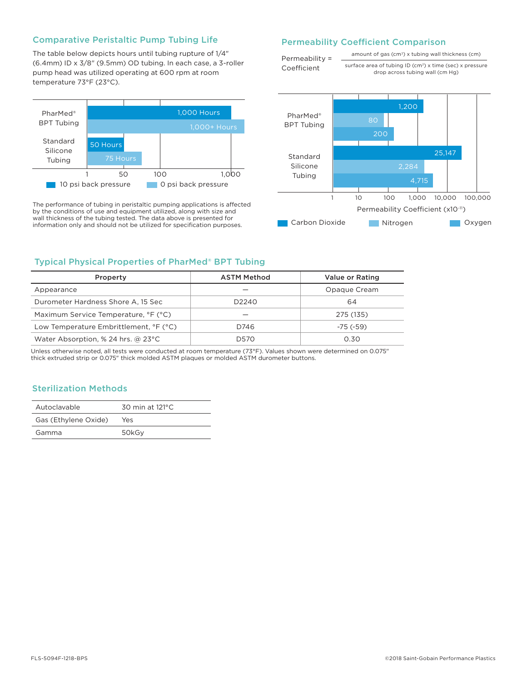#### Comparative Peristaltic Pump Tubing Life

The table below depicts hours until tubing rupture of 1/4" (6.4mm) ID x 3/8" (9.5mm) OD tubing. In each case, a 3-roller pump head was utilized operating at 600 rpm at room temperature 73°F (23°C).



The performance of tubing in peristaltic pumping applications is affected by the conditions of use and equipment utilized, along with size and wall thickness of the tubing tested. The data above is presented for information only and should not be utilized for specification purposes.

#### Permeability Coefficient Comparison

Permeability = Coefficient

amount of gas (cm<sup>3</sup>) x tubing wall thickness (cm) surface area of tubing ID (cm<sup>2</sup>) x time (sec) x pressure

drop across tubing wall (cm Hg)



### Typical Physical Properties of PharMed® BPT Tubing

| Property                                     | <b>ASTM Method</b> | Value or Rating |  |  |
|----------------------------------------------|--------------------|-----------------|--|--|
| Appearance                                   |                    | Opaque Cream    |  |  |
| Durometer Hardness Shore A, 15 Sec           | D <sub>2240</sub>  | 64              |  |  |
| Maximum Service Temperature, °F (°C)         |                    | 275 (135)       |  |  |
| Low Temperature Embrittlement, °F (°C)       | D746               | $-75$ ( $-59$ ) |  |  |
| Water Absorption, % 24 hrs. @ $23^{\circ}$ C | D570               | 0.30            |  |  |

Unless otherwise noted, all tests were conducted at room temperature (73°F). Values shown were determined on 0.075" thick extruded strip or 0.075" thick molded ASTM plaques or molded ASTM durometer buttons.

### Sterilization Methods

| Autoclavable         | 30 min at $121^{\circ}$ C |  |  |  |
|----------------------|---------------------------|--|--|--|
| Gas (Ethylene Oxide) | Yes                       |  |  |  |
| Gamma                | 50kGv                     |  |  |  |